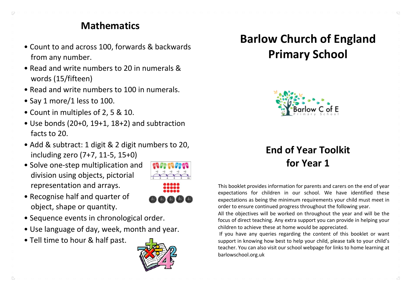### **Mathematics**

- Count to and across 100, forwards & backwards from any number.
- Read and write numbers to 20 in numerals & words (15/fifteen)
- Read and write numbers to 100 in numerals.
- Say 1 more/1 less to 100.
- Count in multiples of 2, 5 & 10.
- Use bonds (20+0, 19+1, 18+2) and subtraction facts to 20.
- Add & subtract: 1 digit & 2 digit numbers to 20, including zero (7+7, 11-5, 15+0)
- Solve one-step multiplication and division using objects, pictorial representation and arrays.
- 
- Recognise half and quarter of object, shape or quantity.
- Sequence events in chronological order.
- Use language of day, week, month and year.
- Tell time to hour & half past.

 $\Box$ 



# **Barlow Church of England Primary School**



## **End of Year Toolkit for Year 1**

This booklet provides information for parents and carers on the end of year expectations for children in our school. We have identified these expectations as being the minimum requirements your child must meet in order to ensure continued progress throughout the following year.

All the objectives will be worked on throughout the year and will be the focus of direct teaching. Any extra support you can provide in helping your children to achieve these at home would be appreciated.

If you have any queries regarding the content of this booklet or want support in knowing how best to help your child, please talk to your child's teacher. You can also visit our school webpage for links to home learning at barlowschool.org.uk